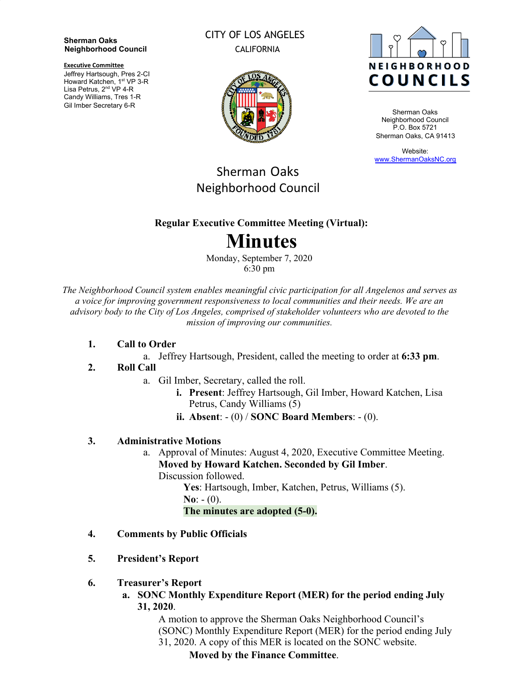#### **Sherman Oaks Neighborhood Council**

**Executive Committee**

Jeffrey Hartsough, Pres 2-CI Howard Katchen, 1<sup>st</sup> VP 3-R Lisa Petrus, 2<sup>nd</sup> VP 4-R Candy Williams, Tres 1-R Gil Imber Secretary 6-R

#### CITY OF LOS ANGELES CALIFORNIA





Sherman Oaks Neighborhood Council P.O. Box 5721 Sherman Oaks, CA 91413

Website: [www.ShermanOaksNC.org](http://www.shermanoaksnc.org/)

## Sherman Oaks Neighborhood Council

#### **Regular Executive Committee Meeting (Virtual):**

# **Minutes**

Monday, September 7, 2020 6:30 pm

*The Neighborhood Council system enables meaningful civic participation for all Angelenos and serves as a voice for improving government responsiveness to local communities and their needs. We are an advisory body to the City of Los Angeles, comprised of stakeholder volunteers who are devoted to the mission of improving our communities.*

#### **1. Call to Order**

a. Jeffrey Hartsough, President, called the meeting to order at **6:33 pm**.

#### **2. Roll Call**

- a. Gil Imber, Secretary, called the roll.
	- **i. Present**: Jeffrey Hartsough, Gil Imber, Howard Katchen, Lisa Petrus, Candy Williams (5)
	- **ii. Absent**: (0) / **SONC Board Members**: (0).

#### **3. Administrative Motions**

a. Approval of Minutes: August 4, 2020, Executive Committee Meeting. **Moved by Howard Katchen. Seconded by Gil Imber**. Discussion followed.

**Yes**: Hartsough, Imber, Katchen, Petrus, Williams (5). **No**:  $- (0)$ . **The minutes are adopted (5-0).**

- **4. Comments by Public Officials**
- **5. President's Report**
- **6. Treasurer's Report**
	- **a. SONC Monthly Expenditure Report (MER) for the period ending July 31, 2020**.

A motion to approve the Sherman Oaks Neighborhood Council's (SONC) Monthly Expenditure Report (MER) for the period ending July 31, 2020. A copy of this MER is located on the SONC website.

### **Moved by the Finance Committee**.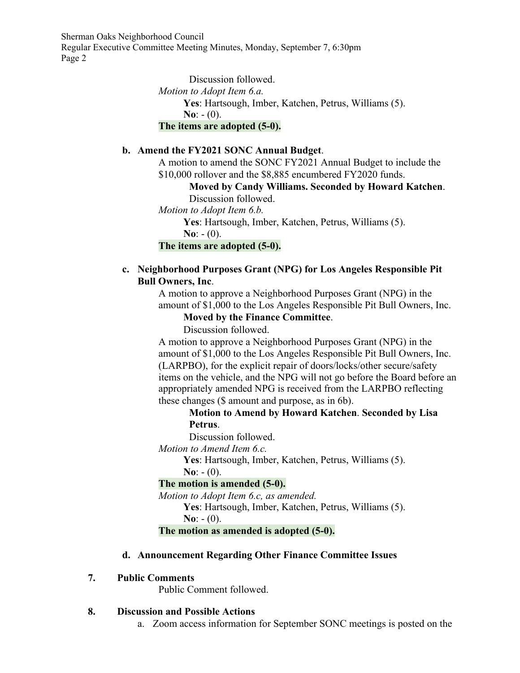Sherman Oaks Neighborhood Council

Regular Executive Committee Meeting Minutes, Monday, September 7, 6:30pm Page 2

> Discussion followed. *Motion to Adopt Item 6.a.* **Yes**: Hartsough, Imber, Katchen, Petrus, Williams (5).  $N_0$ :  $- (0)$ . **The items are adopted (5-0).**

#### **b. Amend the FY2021 SONC Annual Budget**.

A motion to amend the SONC FY2021 Annual Budget to include the \$10,000 rollover and the \$8,885 encumbered FY2020 funds.

**Moved by Candy Williams. Seconded by Howard Katchen**.

Discussion followed.

*Motion to Adopt Item 6.b.*

**Yes**: Hartsough, Imber, Katchen, Petrus, Williams (5).

**No**:  $- (0)$ .

**The items are adopted (5-0).**

#### **c. Neighborhood Purposes Grant (NPG) for Los Angeles Responsible Pit Bull Owners, Inc**.

A motion to approve a Neighborhood Purposes Grant (NPG) in the amount of \$1,000 to the Los Angeles Responsible Pit Bull Owners, Inc.

#### **Moved by the Finance Committee**.

Discussion followed.

A motion to approve a Neighborhood Purposes Grant (NPG) in the amount of \$1,000 to the Los Angeles Responsible Pit Bull Owners, Inc. (LARPBO), for the explicit repair of doors/locks/other secure/safety items on the vehicle, and the NPG will not go before the Board before an appropriately amended NPG is received from the LARPBO reflecting these changes (\$ amount and purpose, as in 6b).

**Motion to Amend by Howard Katchen**. **Seconded by Lisa Petrus**.

Discussion followed.

*Motion to Amend Item 6.c.*

**Yes**: Hartsough, Imber, Katchen, Petrus, Williams (5).

 $N_0$ :  $- (0)$ .

#### **The motion is amended (5-0).**

*Motion to Adopt Item 6.c, as amended.*

**Yes**: Hartsough, Imber, Katchen, Petrus, Williams (5). **No**:  $- (0)$ .

#### **The motion as amended is adopted (5-0).**

#### **d. Announcement Regarding Other Finance Committee Issues**

#### **7. Public Comments**

Public Comment followed.

#### **8. Discussion and Possible Actions**

a. Zoom access information for September SONC meetings is posted on the